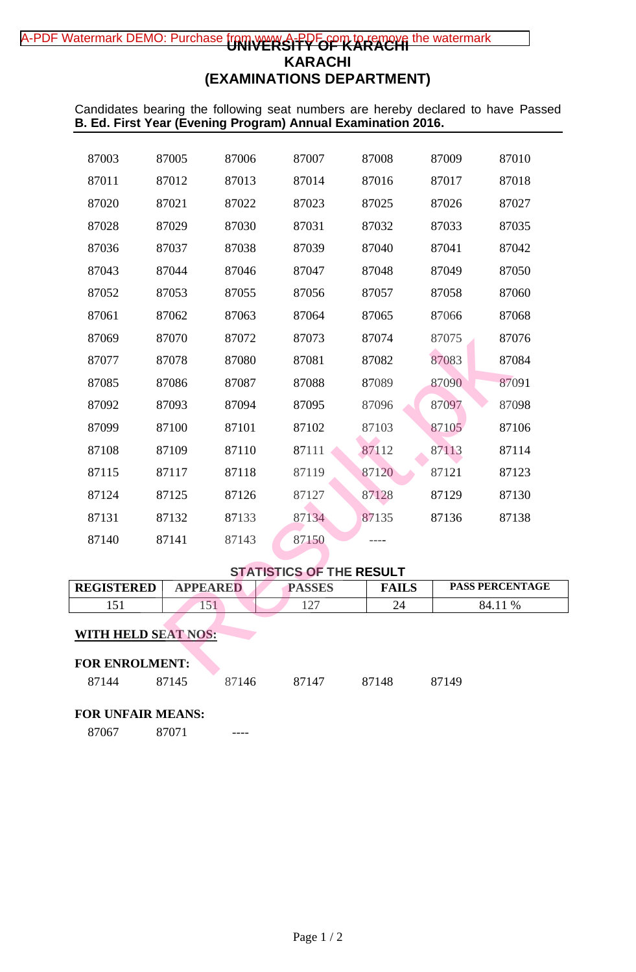# A-PDF Watermark DEMO: Purchase from w<del>ww.A-PPFor m to remove</del> the watermark **KARACHI (EXAMINATIONS DEPARTMENT)**

Candidates bearing the following seat numbers are hereby declared to have Passed **B. Ed. First Year (Evening Program) Annual Examination 2016.**

| <b>WITH HELD SEAT NOS:</b><br><b>FOR ENROLMENT:</b> |                 |                |                                 |                |                |                        |  |  |  |
|-----------------------------------------------------|-----------------|----------------|---------------------------------|----------------|----------------|------------------------|--|--|--|
| 151<br>151                                          |                 |                | 127                             | 24             | 84.11 %        |                        |  |  |  |
| REGISTERED                                          | <b>APPEARED</b> |                | <b>PASSES</b>                   | <b>FAILS</b>   |                | <b>PASS PERCENTAGE</b> |  |  |  |
|                                                     |                 |                | <b>STATISTICS OF THE RESULT</b> |                |                |                        |  |  |  |
| 87140                                               | 87141           | 87143          | 87150                           |                |                |                        |  |  |  |
| 87131                                               | 87132           | 87133          | 87134                           | 87135          | 87136          | 87138                  |  |  |  |
| 87124                                               | 87125           | 87126          | 87127                           | 87128          | 87129          | 87130                  |  |  |  |
| 87115                                               | 87117           | 87118          | 87119                           | 87120          | 87121          | 87123                  |  |  |  |
| 87108                                               | 87109           | 87110          | 87111                           | 87112          | 87113          | 87114                  |  |  |  |
| 87099                                               | 87100           | 87101          | 87102                           | 87103          | 87105          | 87106                  |  |  |  |
| 87092                                               | 87093           | 87094          | 87095                           | 87096          | 87097          | 87098                  |  |  |  |
| 87085                                               | 87086           | 87087          | 87088                           | 87089          | 87090          | 87091                  |  |  |  |
| 87077                                               | 87078           | 87080          | 87081                           | 87082          | 87083          | 87084                  |  |  |  |
| 87069                                               | 87070           | 87072          | 87073                           | 87074          | 87075          | 87076                  |  |  |  |
| 87061                                               | 87062           | 87063          | 87064                           | 87065          | 87066          | 87068                  |  |  |  |
| 87052                                               | 87053           | 87055          | 87056                           | 87057          | 87058          | 87060                  |  |  |  |
| 87036<br>87043                                      | 87037<br>87044  | 87038<br>87046 | 87039<br>87047                  | 87040<br>87048 | 87041<br>87049 | 87042<br>87050         |  |  |  |
| 87028                                               | 87029           | 87030          | 87031                           | 87032          | 87033          | 87035                  |  |  |  |
| 87020                                               | 87021           | 87022          | 87023                           | 87025          | 87026          | 87027                  |  |  |  |
| 87011                                               | 87012           | 87013          | 87014                           | 87016          | 87017          | 87018                  |  |  |  |
| 87003                                               | 87005           | 87006          | 87007                           | 87008          | 87009          | 87010                  |  |  |  |
|                                                     |                 |                |                                 |                |                |                        |  |  |  |

# **STATISTICS OF THE RESULT**

| <b>REGISTERED</b>              | <b>APPEARED</b> |       | <b>PASSES</b> | <b>FAILS</b> | <b>PASS PERCENTAGE</b> |
|--------------------------------|-----------------|-------|---------------|--------------|------------------------|
| 151                            | 151             |       | 127           | 24           | 84.11 %                |
| <b>WITH HELD SEAT NOS:</b>     |                 |       |               |              |                        |
| <b>FOR ENROLMENT:</b><br>87144 | 87145           | 87146 | 87147         | 87148        | 87149                  |
| <b>FOR UNFAIR MEANS:</b>       |                 |       |               |              |                        |

87071 ----